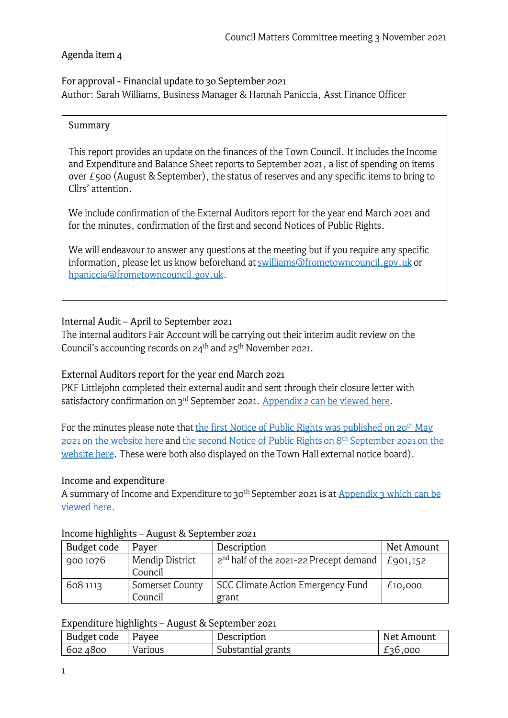# Agenda item 4

For approval - Financial update to 30 September 2021 Author: Sarah Williams, Business Manager & Hannah Paniccia, Asst Finance Officer

#### Summary

This report provides an update on the finances of the Town Council. It includes the Income and Expenditure and Balance Sheet reports to September 2021, a list of spending on items over  $E$ 500 (August & September), the status of reserves and any specific items to bring to Cllrs' attention.

We include confirmation of the External Auditors report for the year end March 2021 and for the minutes, confirmation of the first and second Notices of Public Rights.

We will endeavour to answer any questions at the meeting but if you require any specific information, please let us know beforehand at swilliams@frometowncouncil.gov.uk or hpaniccia@frometowncouncil.gov.uk.

# Internal Audit - April to September 2021

The internal auditors Fair Account will be carrying out their interim audit review on the Council's accounting records on  $24<sup>th</sup>$  and  $25<sup>th</sup>$  November 2021.

# External Auditors report for the year end March 2021

PKF Littlejohn completed their external audit and sent through their closure letter with satisfactory confirmation on  $3<sup>rd</sup>$  September 2021. [Appendix 2 can be viewed here](https://www.frometowncouncil.gov.uk/wp-content/uploads/2021/10/Appendix-2-External-Auditor-Approval-2021-1.pdf).

For the minutes please note that the first Notice of Public Rights was published on 20<sup>th</sup> May [2021 on the website here](https://www.frometowncouncil.gov.uk/wp-content/uploads/2021/05/Provision-for-the-exercise-of-public-rights.pdf) and [the second Notice of Public Rights on 8](https://www.frometowncouncil.gov.uk/wp-content/uploads/2021/09/Second-Notice-of-Public-Rights-for-the-audited-Annual-Governance-Accountability-Return-AGAR-for-2020-21.pdf)<sup>th</sup> September 2021 on the [website here](https://www.frometowncouncil.gov.uk/wp-content/uploads/2021/09/Second-Notice-of-Public-Rights-for-the-audited-Annual-Governance-Accountability-Return-AGAR-for-2020-21.pdf). These were both also displayed on the Town Hall external notice board).

# Income and expenditure

A summary of Income and Expenditure to 30<sup>th</sup> September 2021 is at Appendix 3 which can be [viewed here.](https://www.frometowncouncil.gov.uk/wp-content/uploads/2021/10/Appendix-3-Detailed-Income-Expenditure-by-Budget-Heading-30_09_2021-for-Council-Matters.pdf) 

#### Income highlights - August & September 2021

| Budget code | Payer           | Description                                        | Net Amount |
|-------------|-----------------|----------------------------------------------------|------------|
| 900 1076    | Mendip District | 2 <sup>nd</sup> half of the 2021-22 Precept demand | £901,152   |
|             | Council         |                                                    |            |
| 608 1113    | Somerset County | SCC Climate Action Emergency Fund                  | £10,000    |
|             | Council         | grant                                              |            |

#### Expenditure highlights - August & September 2021

| Budget code | Payee   | Description        | Net Amount |
|-------------|---------|--------------------|------------|
| 602 4800    | Various | Substantial grants | £36,000    |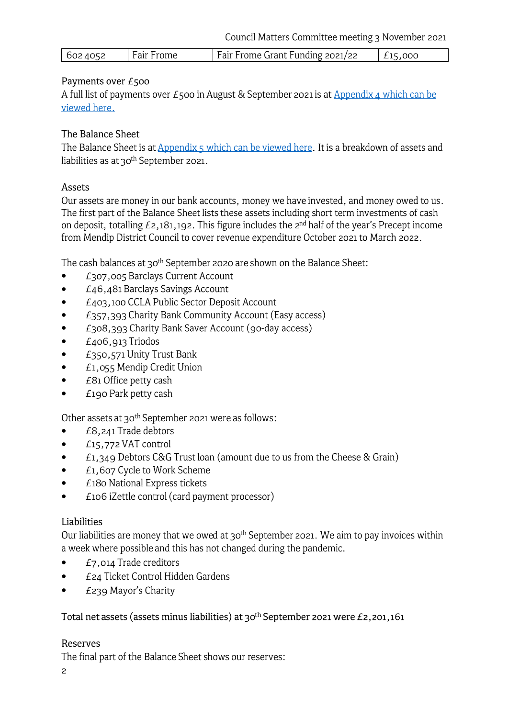| 602 4052 | Fair Frome | <b>Fair Frome Grant Funding 2021/22</b> | ooc |
|----------|------------|-----------------------------------------|-----|

# Payments over £500

A full list of payments over  $E$ 500 in August & September 2021 is at Appendix 4 which can be [viewed here.](https://www.frometowncouncil.gov.uk/wp-content/uploads/2021/10/Appendix-4-Payments-over-500-Aug-Sept-2021.pdf) 

# The Balance Sheet

The Balance Sheet is at Appendix 5 which can be viewed here. It is a breakdown of assets and liabilities as at 30<sup>th</sup> September 2021.

# Assets

Our assets are money in our bank accounts, money we have invested, and money owed to us. The first part of the Balance Sheet lists these assets including short term investments of cash on deposit, totalling  $E_2, 181, 192$ . This figure includes the  $2^{nd}$  half of the year's Precept income from Mendip District Council to cover revenue expenditure October 2021 to March 2022.

The cash balances at 30<sup>th</sup> September 2020 are shown on the Balance Sheet:

- £307,005 Barclays Current Account •
- £46,481 Barclays Savings Account •
- £403,100 CCLA Public Sector Deposit Account •
- £357,393 Charity Bank Community Account (Easy access) •
- £308,393 Charity Bank Saver Account (go-day access) •
- £406,913 Triodos •
- £350,571 Unity Trust Bank •
- £1,055 Mendip Credit Union •
- £81 Office petty cash •
- £190 Park petty cash •

Other assets at 30<sup>th</sup> September 2021 were as follows:

- £8,241 Trade debtors •
- £15,772 VAT control •
- £1,349 Debtors C&G Trust loan (amount due to us from the Cheese & Grain) •
- £1,607 Cycle to Work Scheme •
- £180 National Express tickets •
- £106 iZettle control (card payment processor) •

# Liabilities

Our liabilities are money that we owed at  $30<sup>th</sup>$  September 2021. We aim to pay invoices within a week where possible and this has not changed during the pandemic.

- £7,014 Trade creditors •
- £24 Ticket Control Hidden Gardens •
- £239 Mayor's Charity •

Total net assets (assets minus liabilities) at 30th September 2021 were £2,201,161

# Reserves

The final part of the Balance Sheet shows our reserves: